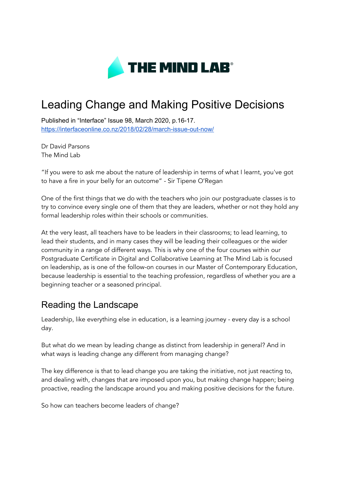

# Leading Change and Making Positive Decisions

Published in "Interface" Issue 98, March 2020, p.16-17. <https://interfaceonline.co.nz/2018/02/28/march-issue-out-now/>

Dr David Parsons The Mind Lab

"If you were to ask me about the nature of leadership in terms of what I learnt, you've got to have a fire in your belly for an outcome" - Sir Tipene O'Regan

One of the first things that we do with the teachers who join our postgraduate classes is to try to convince every single one of them that they are leaders, whether or not they hold any formal leadership roles within their schools or communities.

At the very least, all teachers have to be leaders in their classrooms; to lead learning, to lead their students, and in many cases they will be leading their colleagues or the wider community in a range of different ways. This is why one of the four courses within our Postgraduate Certificate in Digital and Collaborative Learning at The Mind Lab is focused on leadership, as is one of the follow-on courses in our Master of Contemporary Education, because leadership is essential to the teaching profession, regardless of whether you are a beginning teacher or a seasoned principal.

#### Reading the Landscape

Leadership, like everything else in education, is a learning journey - every day is a school day.

But what do we mean by leading change as distinct from leadership in general? And in what ways is leading change any different from managing change?

The key difference is that to lead change you are taking the initiative, not just reacting to, and dealing with, changes that are imposed upon you, but making change happen; being proactive, reading the landscape around you and making positive decisions for the future.

So how can teachers become leaders of change?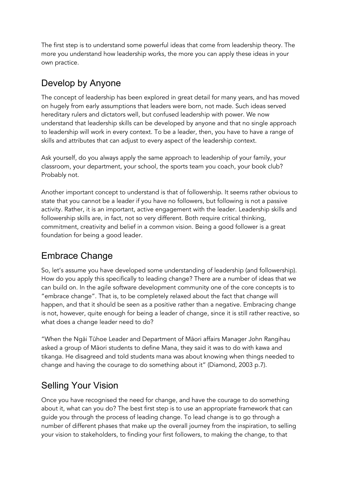The first step is to understand some powerful ideas that come from leadership theory. The more you understand how leadership works, the more you can apply these ideas in your own practice.

## Develop by Anyone

The concept of leadership has been explored in great detail for many years, and has moved on hugely from early assumptions that leaders were born, not made. Such ideas served hereditary rulers and dictators well, but confused leadership with power. We now understand that leadership skills can be developed by anyone and that no single approach to leadership will work in every context. To be a leader, then, you have to have a range of skills and attributes that can adjust to every aspect of the leadership context.

Ask yourself, do you always apply the same approach to leadership of your family, your classroom, your department, your school, the sports team you coach, your book club? Probably not.

Another important concept to understand is that of followership. It seems rather obvious to state that you cannot be a leader if you have no followers, but following is not a passive activity. Rather, it is an important, active engagement with the leader. Leadership skills and followership skills are, in fact, not so very different. Both require critical thinking, commitment, creativity and belief in a common vision. Being a good follower is a great foundation for being a good leader.

## Embrace Change

So, let's assume you have developed some understanding of leadership (and followership). How do you apply this specifically to leading change? There are a number of ideas that we can build on. In the agile software development community one of the core concepts is to "embrace change". That is, to be completely relaxed about the fact that change will happen, and that it should be seen as a positive rather than a negative. Embracing change is not, however, quite enough for being a leader of change, since it is still rather reactive, so what does a change leader need to do?

"When the Ngāi Tūhoe Leader and Department of Māori affairs Manager John Rangihau asked a group of Māori students to define Mana, they said it was to do with kawa and tikanga. He disagreed and told students mana was about knowing when things needed to change and having the courage to do something about it" (Diamond, 2003 p.7).

## Selling Your Vision

Once you have recognised the need for change, and have the courage to do something about it, what can you do? The best first step is to use an appropriate framework that can guide you through the process of leading change. To lead change is to go through a number of different phases that make up the overall journey from the inspiration, to selling your vision to stakeholders, to finding your first followers, to making the change, to that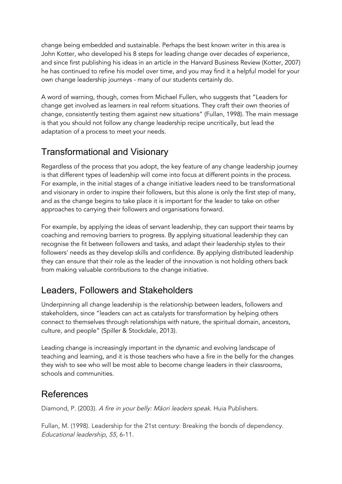change being embedded and sustainable. Perhaps the best known writer in this area is John Kotter, who developed his 8 steps for leading change over decades of experience, and since first publishing his ideas in an article in the Harvard Business Review (Kotter, 2007) he has continued to refine his model over time, and you may find it a helpful model for your own change leadership journeys - many of our students certainly do.

A word of warning, though, comes from Michael Fullen, who suggests that "Leaders for change get involved as learners in real reform situations. They craft their own theories of change, consistently testing them against new situations" (Fullan, 1998). The main message is that you should not follow any change leadership recipe uncritically, but lead the adaptation of a process to meet your needs.

#### Transformational and Visionary

Regardless of the process that you adopt, the key feature of any change leadership journey is that different types of leadership will come into focus at different points in the process. For example, in the initial stages of a change initiative leaders need to be transformational and visionary in order to inspire their followers, but this alone is only the first step of many, and as the change begins to take place it is important for the leader to take on other approaches to carrying their followers and organisations forward.

For example, by applying the ideas of servant leadership, they can support their teams by coaching and removing barriers to progress. By applying situational leadership they can recognise the fit between followers and tasks, and adapt their leadership styles to their followers' needs as they develop skills and confidence. By applying distributed leadership they can ensure that their role as the leader of the innovation is not holding others back from making valuable contributions to the change initiative.

## Leaders, Followers and Stakeholders

Underpinning all change leadership is the relationship between leaders, followers and stakeholders, since "leaders can act as catalysts for transformation by helping others connect to themselves through relationships with nature, the spiritual domain, ancestors, culture, and people" (Spiller & Stockdale, 2013).

Leading change is increasingly important in the dynamic and evolving landscape of teaching and learning, and it is those teachers who have a fire in the belly for the changes they wish to see who will be most able to become change leaders in their classrooms, schools and communities.

#### References

Diamond, P. (2003). <sup>A</sup> fire in your belly: Māori leaders speak. Huia Publishers.

Fullan, M. (1998). Leadership for the 21st century: Breaking the bonds of dependency. Educational leadership, <sup>55</sup>, 6-11.